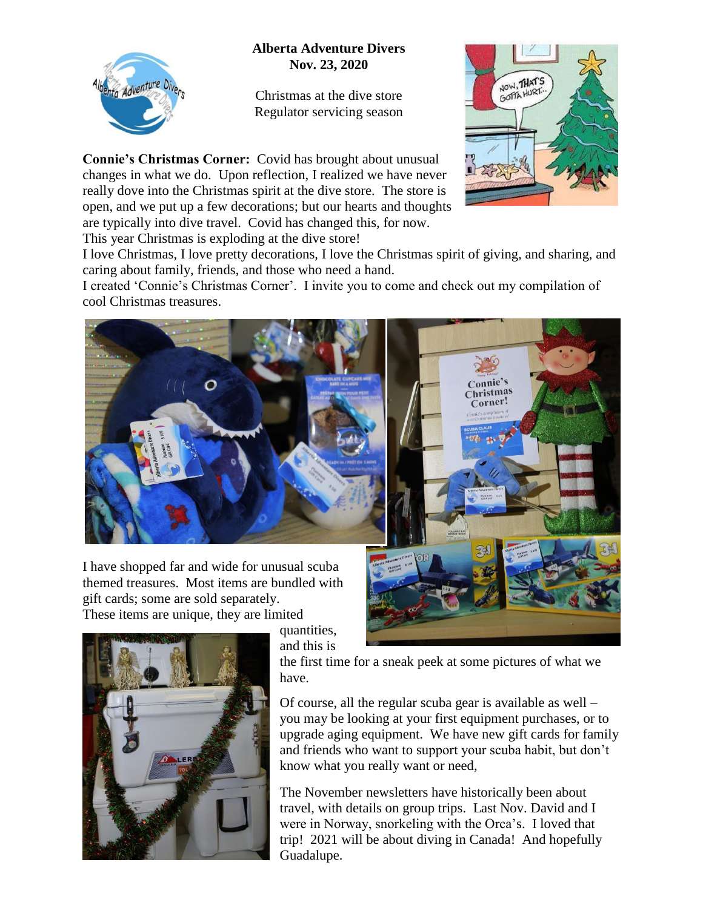## **Alberta Adventure Divers Nov. 23, 2020**



Christmas at the dive store Regulator servicing season

**Connie's Christmas Corner:** Covid has brought about unusual changes in what we do. Upon reflection, I realized we have never really dove into the Christmas spirit at the dive store. The store is open, and we put up a few decorations; but our hearts and thoughts are typically into dive travel. Covid has changed this, for now. This year Christmas is exploding at the dive store!



I love Christmas, I love pretty decorations, I love the Christmas spirit of giving, and sharing, and caring about family, friends, and those who need a hand.

I created 'Connie's Christmas Corner'. I invite you to come and check out my compilation of cool Christmas treasures.



I have shopped far and wide for unusual scuba themed treasures. Most items are bundled with gift cards; some are sold separately.

These items are unique, they are limited



quantities, and this is

the first time for a sneak peek at some pictures of what we have.

Of course, all the regular scuba gear is available as well – you may be looking at your first equipment purchases, or to upgrade aging equipment. We have new gift cards for family and friends who want to support your scuba habit, but don't know what you really want or need,

The November newsletters have historically been about travel, with details on group trips. Last Nov. David and I were in Norway, snorkeling with the Orca's. I loved that trip! 2021 will be about diving in Canada! And hopefully Guadalupe.